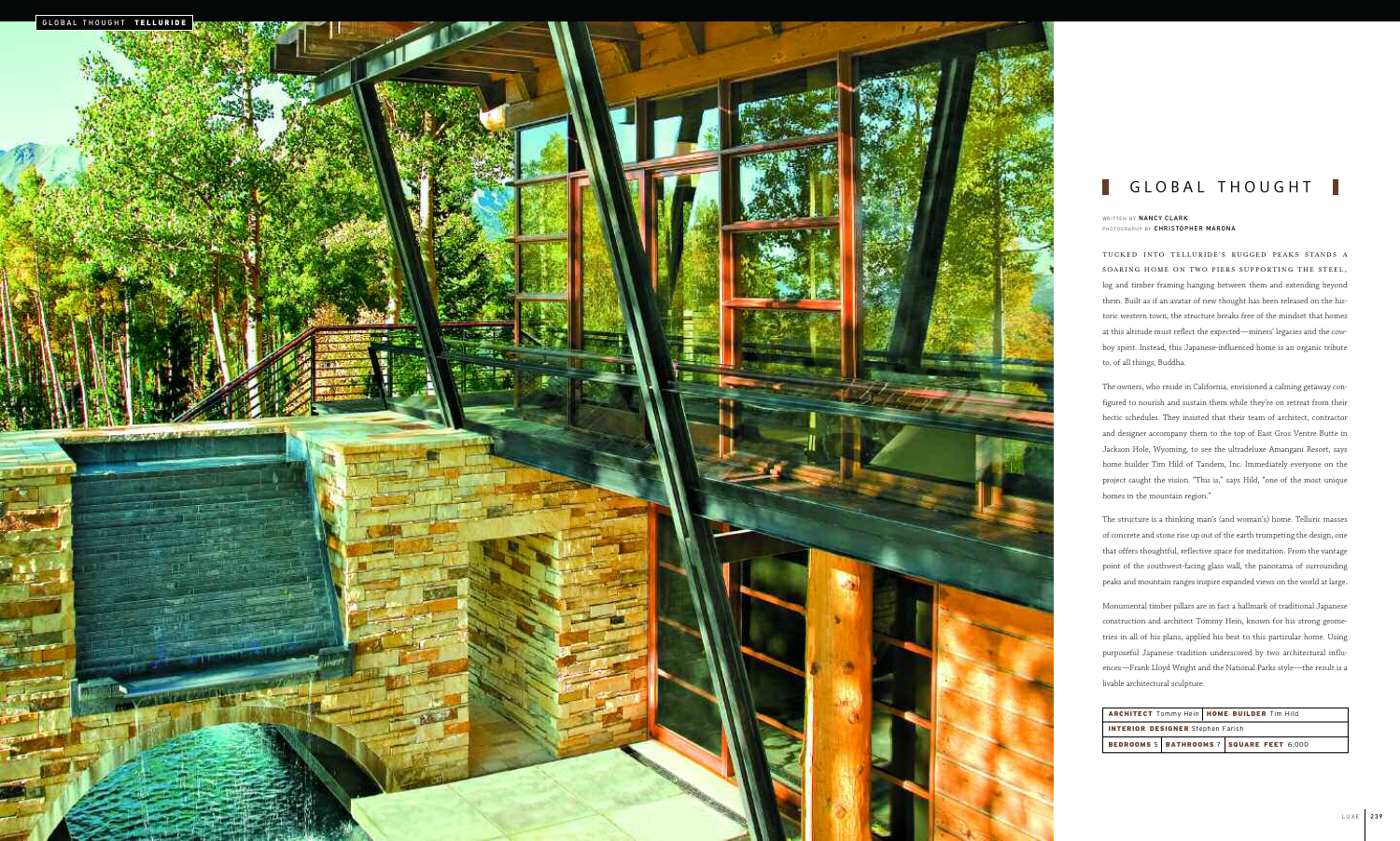|                                         |  | ARCHITECT Tommy Hein   HOME BUILDER Tim Hild |                                                 |  |
|-----------------------------------------|--|----------------------------------------------|-------------------------------------------------|--|
| <b>INTERIOR DESIGNER</b> Stephen Farish |  |                                              |                                                 |  |
|                                         |  |                                              | <b>BEDROOMS 5 BATHROOMS 7 SQUARE FEET 6,000</b> |  |



### GLOBAL THOUGHT | T.

The owners, who reside in California, envisioned a calming getaway configured to nourish and sustain them while they're on retreat from their hectic schedules. They insisted that their team of architect, contractor and designer accompany them to the top of East Gros Ventre Butte in Jackson Hole, Wyoming, to see the ultradeluxe Amangani Resort, says home builder Tim Hild of Tandem, Inc. Immediately everyone on the project caught the vision. "This is," says Hild, "one of the most unique homes in the mountain region." WRITTEN BY **NANCY CLARK**<br>FHOTOGRAPHY BY **CHRISTOPHER MARONA**<br>TUCKED INTO TELLURIDE'S R<br>SOARING HOME ON TWO PIERS<br>log and timber framing hanging betwee<br>them. Built as if an avatar of new thou<br>toric western town, the structu

TUCKED INTO TELLURIDE ' S RUGGED PEAKS STANDS A SOARING HOME ON TWO PIERS SUPPORTING THE STEEL, log and timber framing hanging between them and extending beyond them. Built as if an avatar of new thought has been released on the historic western town, the structure breaks free of the mindset that homes at this altitude must reflect the expected—miners' legacies and the cow boy spirit. Instead, this Japanese-influenced home is an organic tribute to, of all things, Buddha.

The structure is a thinking man's (and woman's) home. Telluric masses of concrete and stone rise up out of the earth trumpeting the design, one that offers thoughtful, reflective space for meditation. From the vantage point of the southwest-facing glass wall, the panorama of surrounding peaks and mountain ranges inspire expanded views on the world at large.

Monumental timber pillars are in fact a hallmark of traditional Japanese construction and architect Tommy Hein, known for his strong geometries in all of his plans, applied his best to this particular home. Using purposeful Japanese tradition underscored by two architectural influ ences—Frank Lloyd Wright and the National Parks style—the result is a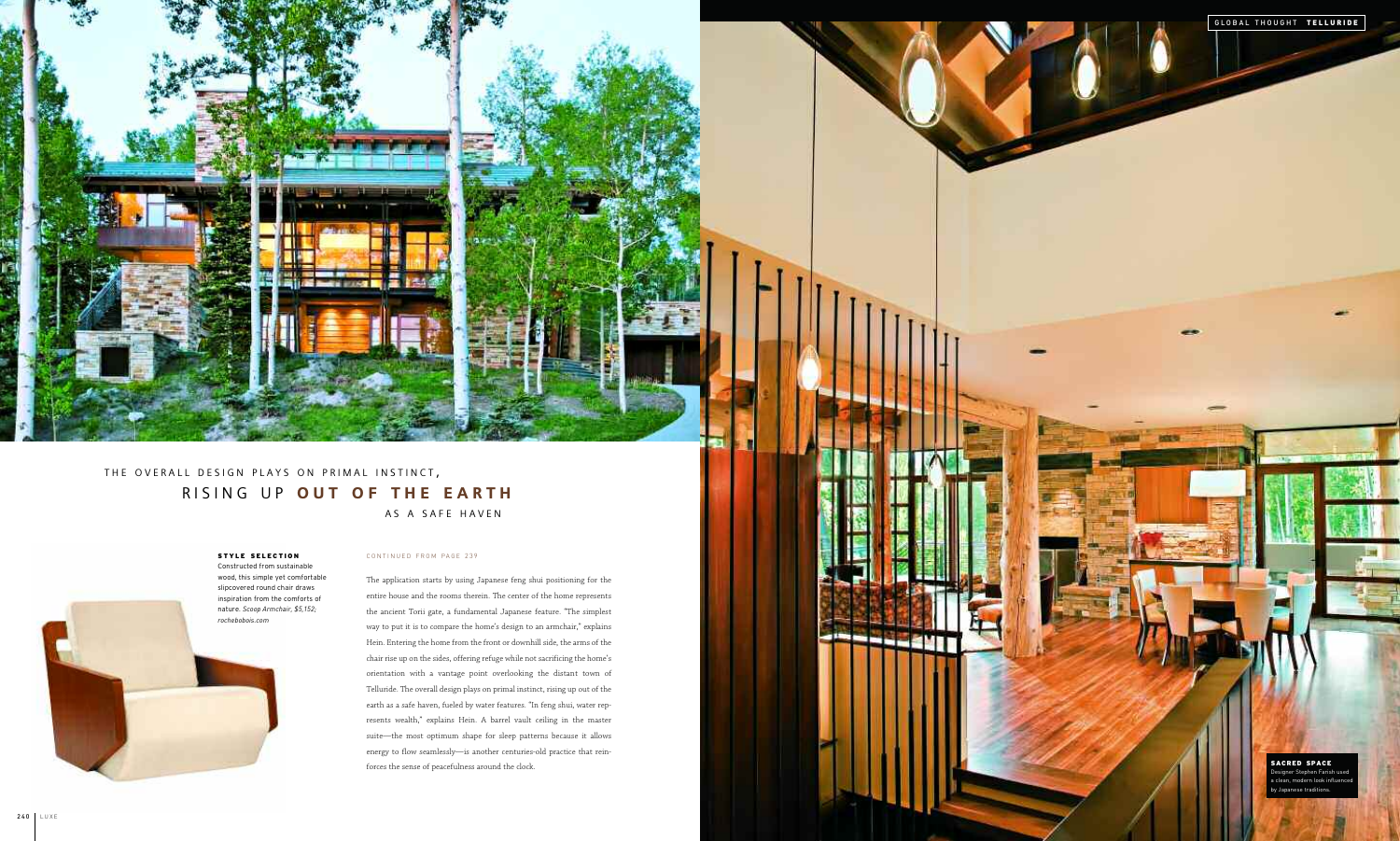## CONTINUED FROM PAGE 239

The application starts by using Japanese feng shui positioning for the entire house and the rooms therein. The center of the home represents the ancient Torii gate, a fundamental Japanese feature. "The simplest way to put it is to compare the home's design to an armchair," explains Hein. Entering the home from the front or downhill side, the arms of the chair rise up on the sides, offering refuge while not sacrificing the home's orientation with a vantage point overlooking the distant town of Telluride. The overall design plays on primal instinct, rising up out of the earth as a safe haven, fueled by water features. "In feng shui, water represents wealth," explains Hein. A barrel vault ceiling in the master suite—the most optimum shape for sleep patterns because it allows energy to flow seamlessly—is another centuries-old practice that reinforces the sense of peacefulness around the clock.





**CONTRACTOR DESCRIPTIONS AND INCOME.** 

## **STYLE SELECTION**

Constructed from sustainable wood, this simple yet comfortable slipcovered round chair draws inspiration from the comforts of nature. *Scoop Armchair, \$5,152;*

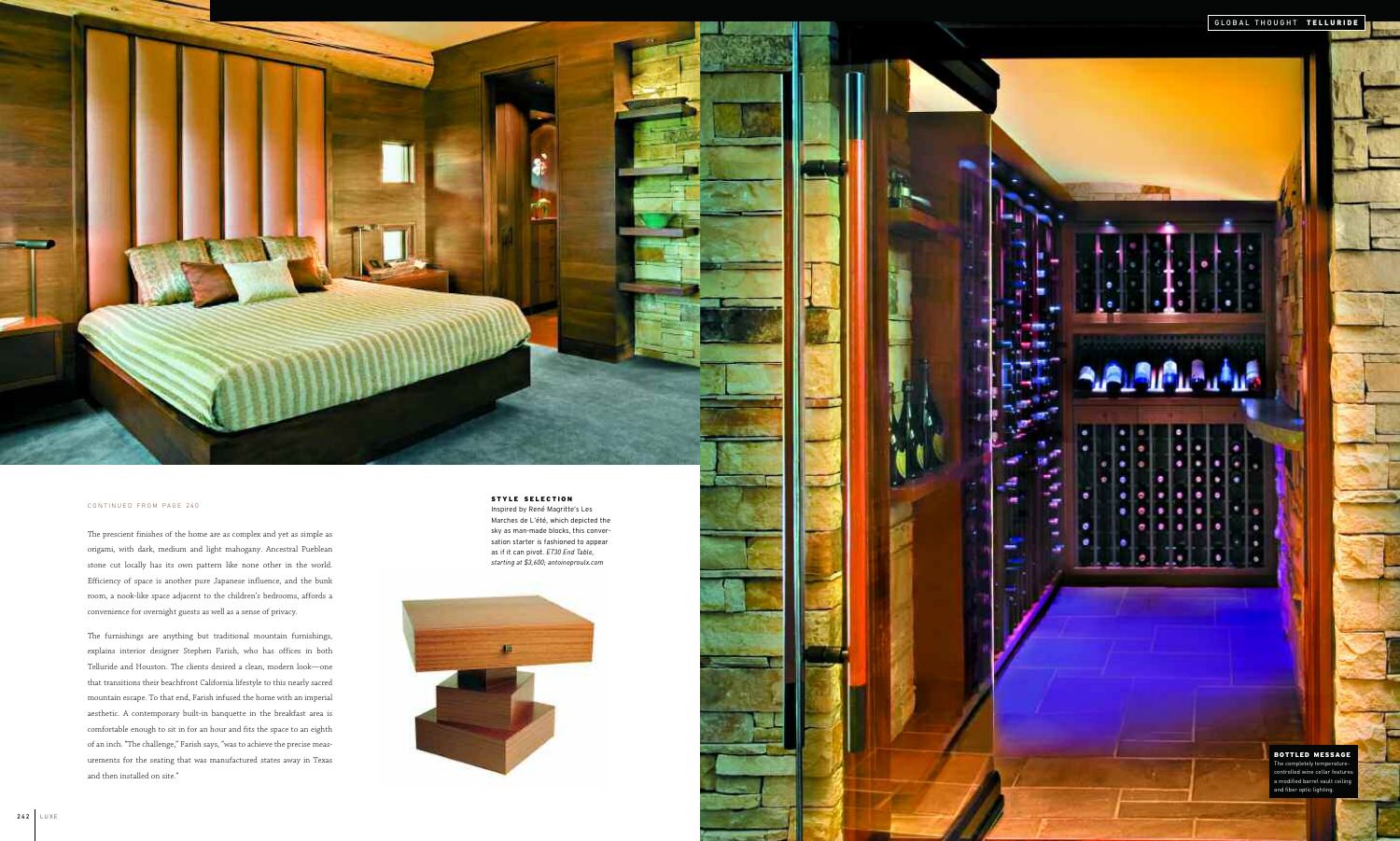CONTINUED FROM PAGE 240

The prescient finishes of the home are as complex and yet as simple as origami, with dark, medium and light mahogany. Ancestral Pueblean stone cut locally has its own pattern like none other in the world. Efficiency of space is another pure Japanese influence, and the bunk room, a nook-like space adjacent to the children's bedrooms, affords a convenience for overnight guests as well as a sense of privacy.

The furnishings are anything but traditional mountain furnishings, explains interior designer Stephen Farish, who has offices in both Telluride and Houston. The clients desired a clean, modern look—one that transitions their beachfront California lifestyle to this nearly sacred mountain escape. To that end, Farish infused the home with an imperial aesthetic. A contemporary built-in banquette in the breakfast area is comfortable enough to sit in for an hour and fits the space to an eighth of an inch. "The challenge," Farish says, "was to achieve the precise measurements for the seating that was manufactured states away in Texas and then installed on site."

#### **STYLE SELECTION**

Inspired by René Magritte's Les Marches de L'été, which depicted the sky as man-made blocks, this conversation starter is fashioned to appear as if it can pivot. *ET30 End Table, starting at \$3,600; antoineproulx.com*



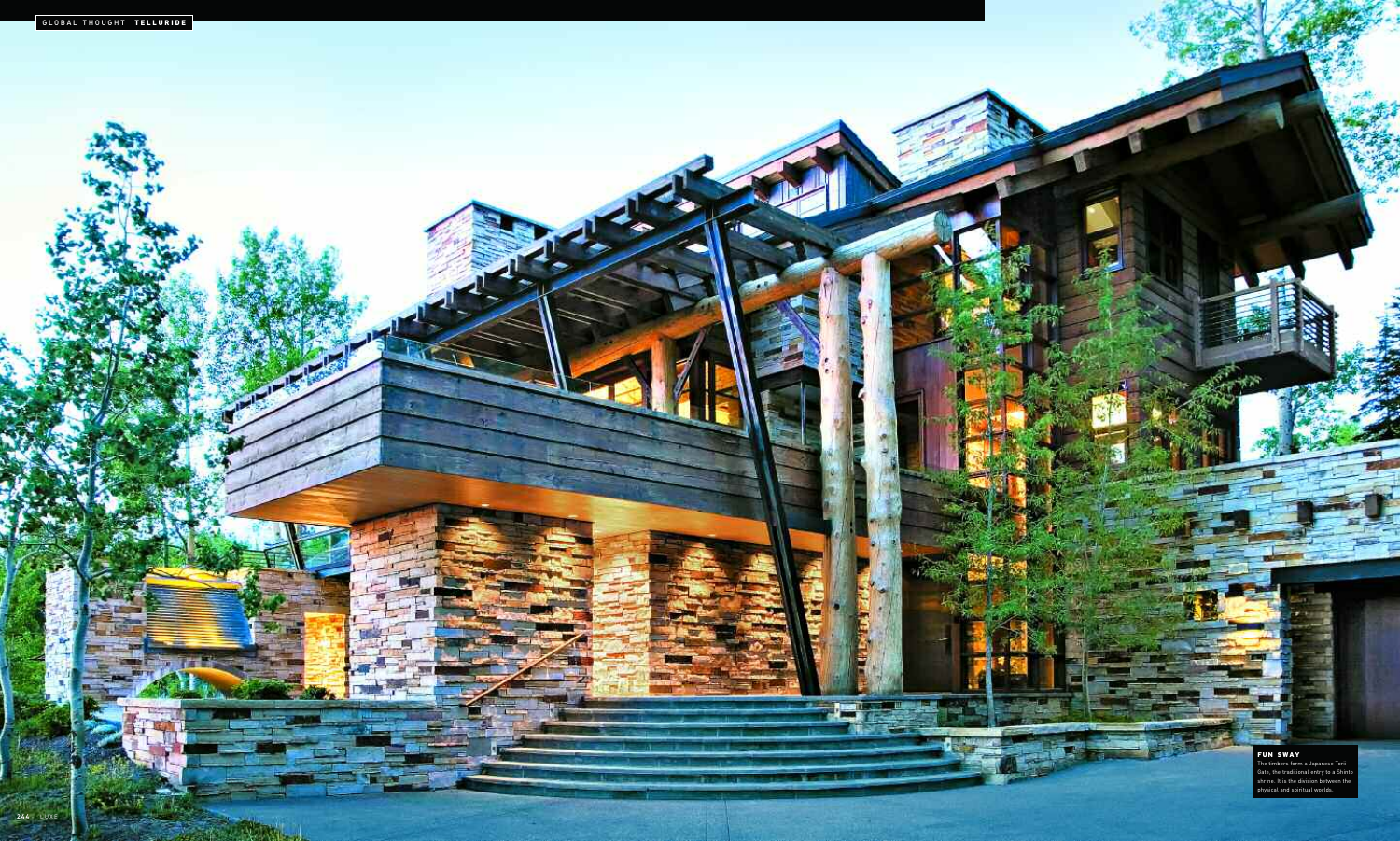

# **FUN SWAY**

The timbers form a Japanese Torii Gate, the traditional entry to a Shinto shrine. It is the division between the physical and spiritual worlds.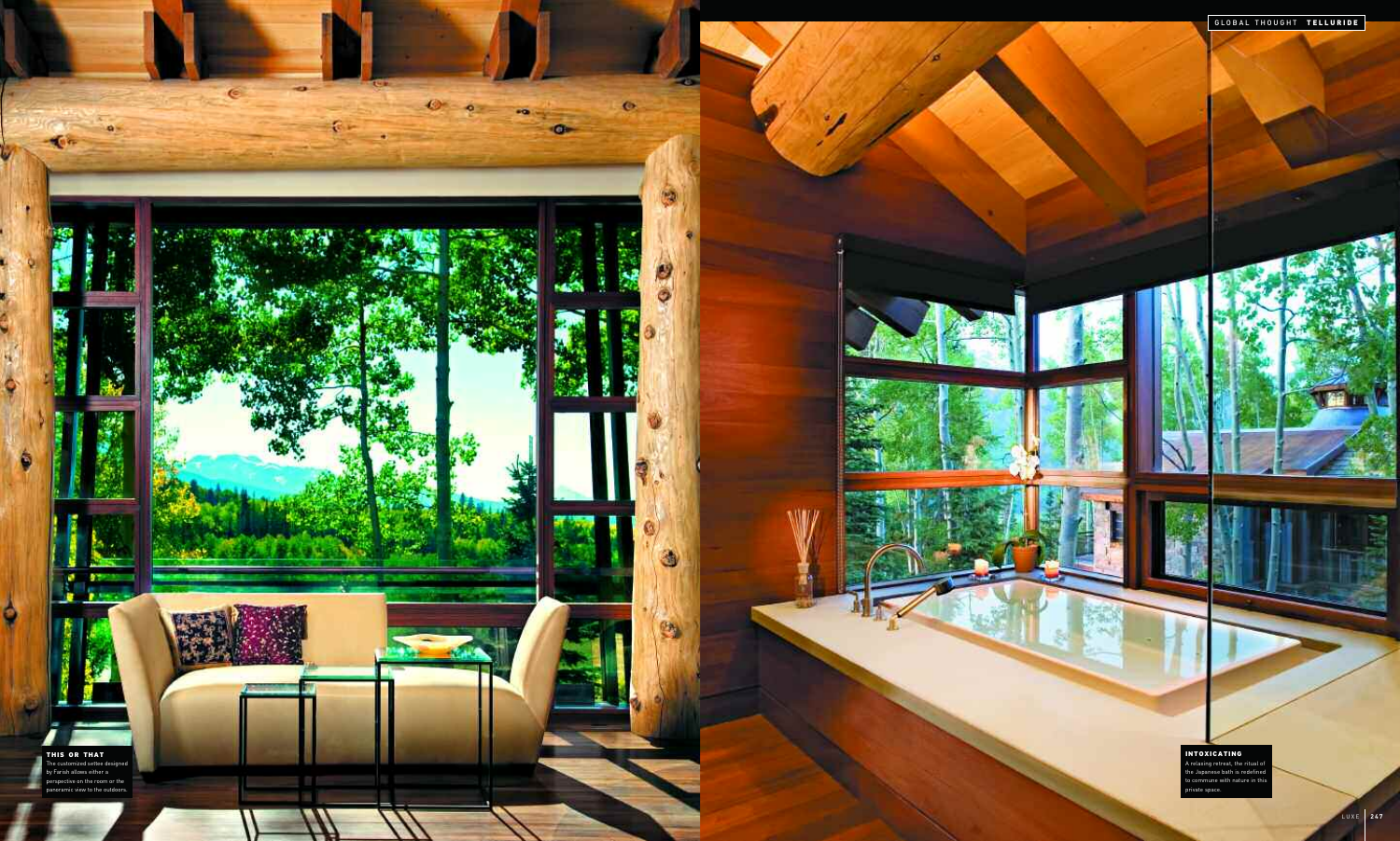